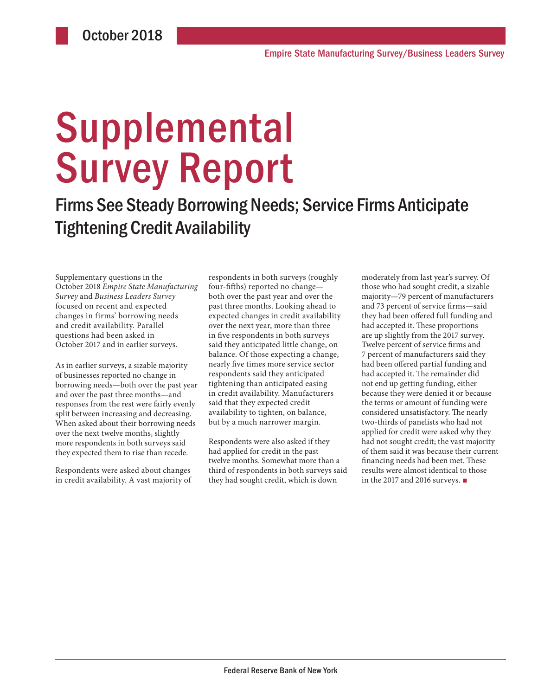# **Supplemental** Survey Report

Firms See Steady Borrowing Needs; Service Firms Anticipate Tightening Credit Availability

Supplementary questions in the October 2018 *Empire State Manufacturing Survey* and *Business Leaders Survey*  focused on recent and expected changes in firms' borrowing needs and credit availability. Parallel questions had been asked in October 2017 and in earlier surveys.

As in earlier surveys, a sizable majority of businesses reported no change in borrowing needs—both over the past year and over the past three months—and responses from the rest were fairly evenly split between increasing and decreasing. When asked about their borrowing needs over the next twelve months, slightly more respondents in both surveys said they expected them to rise than recede.

Respondents were asked about changes in credit availability. A vast majority of respondents in both surveys (roughly four-fifths) reported no change both over the past year and over the past three months. Looking ahead to expected changes in credit availability over the next year, more than three in five respondents in both surveys said they anticipated little change, on balance. Of those expecting a change, nearly five times more service sector respondents said they anticipated tightening than anticipated easing in credit availability. Manufacturers said that they expected credit availability to tighten, on balance, but by a much narrower margin.

Respondents were also asked if they had applied for credit in the past twelve months. Somewhat more than a third of respondents in both surveys said they had sought credit, which is down

moderately from last year's survey. Of those who had sought credit, a sizable majority—79 percent of manufacturers and 73 percent of service firms—said they had been offered full funding and had accepted it. These proportions are up slightly from the 2017 survey. Twelve percent of service firms and 7 percent of manufacturers said they had been offered partial funding and had accepted it. The remainder did not end up getting funding, either because they were denied it or because the terms or amount of funding were considered unsatisfactory. The nearly two-thirds of panelists who had not applied for credit were asked why they had not sought credit; the vast majority of them said it was because their current financing needs had been met. These results were almost identical to those in the 2017 and 2016 surveys. ■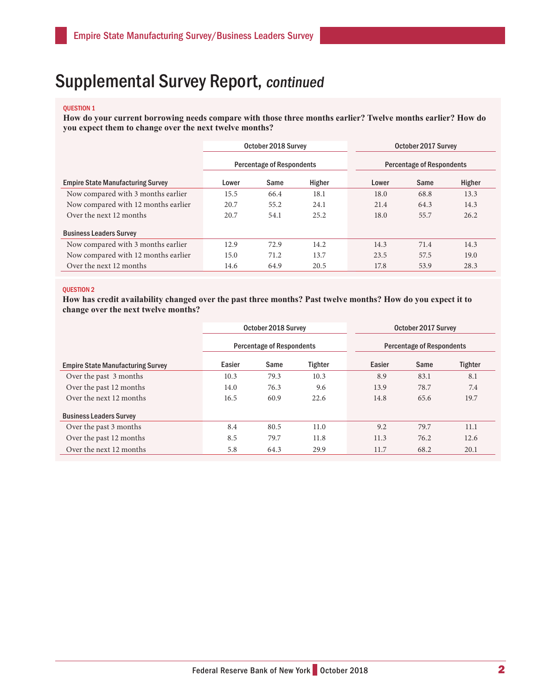## Supplemental Survey Report, continued

#### QUESTION 1

**How do your current borrowing needs compare with those three months earlier? Twelve months earlier? How do you expect them to change over the next twelve months?** 

|                                          | October 2018 Survey              |      |        | October 2017 Survey              |      |        |  |
|------------------------------------------|----------------------------------|------|--------|----------------------------------|------|--------|--|
|                                          | <b>Percentage of Respondents</b> |      |        | <b>Percentage of Respondents</b> |      |        |  |
| <b>Empire State Manufacturing Survey</b> | Lower                            | Same | Higher | Lower                            | Same | Higher |  |
| Now compared with 3 months earlier       | 15.5                             | 66.4 | 18.1   | 18.0                             | 68.8 | 13.3   |  |
| Now compared with 12 months earlier      | 20.7                             | 55.2 | 24.1   | 21.4                             | 64.3 | 14.3   |  |
| Over the next 12 months                  | 20.7                             | 54.1 | 25.2   | 18.0                             | 55.7 | 26.2   |  |
| <b>Business Leaders Survey</b>           |                                  |      |        |                                  |      |        |  |
| Now compared with 3 months earlier       | 12.9                             | 72.9 | 14.2   | 14.3                             | 71.4 | 14.3   |  |
| Now compared with 12 months earlier      | 15.0                             | 71.2 | 13.7   | 23.5                             | 57.5 | 19.0   |  |
| Over the next 12 months                  | 14.6                             | 64.9 | 20.5   | 17.8                             | 53.9 | 28.3   |  |

### QUESTION 2

**How has credit availability changed over the past three months? Past twelve months? How do you expect it to change over the next twelve months?** 

|                                          | October 2018 Survey<br><b>Percentage of Respondents</b> |      |                | October 2017 Survey              |      |         |  |
|------------------------------------------|---------------------------------------------------------|------|----------------|----------------------------------|------|---------|--|
|                                          |                                                         |      |                | <b>Percentage of Respondents</b> |      |         |  |
| <b>Empire State Manufacturing Survey</b> | Easier                                                  | Same | <b>Tighter</b> | Easier                           | Same | Tighter |  |
| Over the past 3 months                   | 10.3                                                    | 79.3 | 10.3           | 8.9                              | 83.1 | 8.1     |  |
| Over the past 12 months                  | 14.0                                                    | 76.3 | 9.6            | 13.9                             | 78.7 | 7.4     |  |
| Over the next 12 months                  | 16.5                                                    | 60.9 | 22.6           | 14.8                             | 65.6 | 19.7    |  |
| <b>Business Leaders Survey</b>           |                                                         |      |                |                                  |      |         |  |
| Over the past 3 months                   | 8.4                                                     | 80.5 | 11.0           | 9.2                              | 79.7 | 11.1    |  |
| Over the past 12 months                  | 8.5                                                     | 79.7 | 11.8           | 11.3                             | 76.2 | 12.6    |  |
| Over the next 12 months                  | 5.8                                                     | 64.3 | 29.9           | 11.7                             | 68.2 | 20.1    |  |